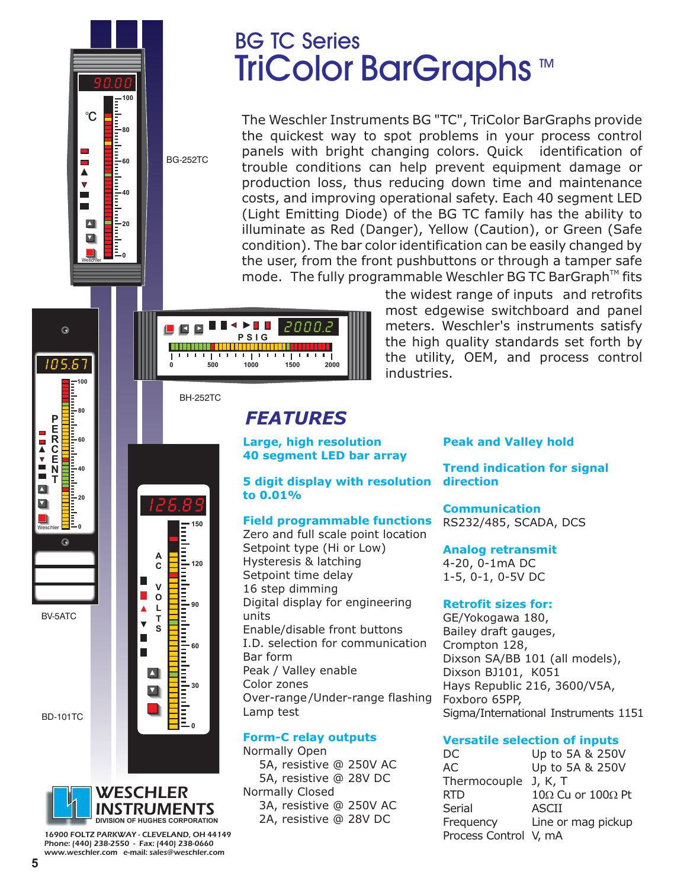

Weschler<br>Weschler

# BG TC Series TriColor BarGraphs ™

The Weschler Instruments BG "TC", TriColor BarGraphs provide the quickest way to spot problems in your process control panels with bright changing colors. Quick identification of trouble conditions can help prevent equipment damage or production loss, thus reducing down time and maintenance costs, and improving operational safety. Each 40 segment LED (Light Emitting Diode) of the BG TC family has the ability to illuminate as Red (Danger), Yellow (Caution), or Green (Safe condition). The bar color identification can be easily changed by the user, from the front pushbuttons or through a tamper safe mode. The fully programmable Weschler BG TC BarGraph<sup>TM</sup> fits



the widest range of inputs and retrofits most edgewise switchboard and panel meters. Weschler's instruments satisfy the high quality standards set forth by the utility, OEM, and process control industries.

BH-252TC

**150**

**120**

**90**

**60**

**30**

**0**

Ē

# *FEATURES*

#### **Large, high resolution 40 segment LED bar array**

**5 digit display with resolution to 0.01%**

### **Field programmable functions**

Zero and full scale point location Setpoint type (Hi or Low) Hysteresis & latching Setpoint time delay 16 step dimming Digital display for engineering units Enable/disable front buttons I.D. selection for communication Bar form Peak / Valley enable Color zones Over-range /Under-range flashing Lamp test

### **Form-C relay outputs**

Normally Open 5A, resistive @ 250V AC 5A, resistive @ 28V DC Normally Closed 3A, resistive @ 250V AC 2A, resistive @ 28V DC

#### **Peak and Valley hold**

**Trend indication for signal direction**

**Communication** RS232/485, SCADA, DCS

#### **Analog retransmit**

4-20, 0-1mA DC 1-5, 0-1, 0-5V DC

#### **Retrofit sizes for:**

GE/Yokogawa 180, Bailey draft gauges, Crompton 128, Dixson SA/BB 101 (all models), Dixson BJ101, K051 Hays Republic 216, 3600/V5A, Foxboro 65PP, Sigma/International Instruments 1151

#### **Versatile selection of inputs**

DC Up to 5A & 250V AC Up to 5A & 250V Thermocouple J, K, T RTD  $10\Omega$  Cu or  $100\Omega$  Pt Serial ASCII Frequency Line or mag pickup Process Control V, mA



BD-101TC

BV-5ATC

Weschler

 $\blacksquare$ 

**NAVIO** 

 $\blacksquare$ Ø

**P E R C E N T**

I 0 5.67

 $\odot$ 

**100**

**80**

**60**

**40**

**20**<br>20<br>20

E

 $\odot$ 

**0**



*16900 FOLTZ PARKWAY - CLEVELAND, OH 44149 Phone: (440) 238-2550 - Fax: (440) 238-0660 www.weschler.com e-mail: sales@weschler.com*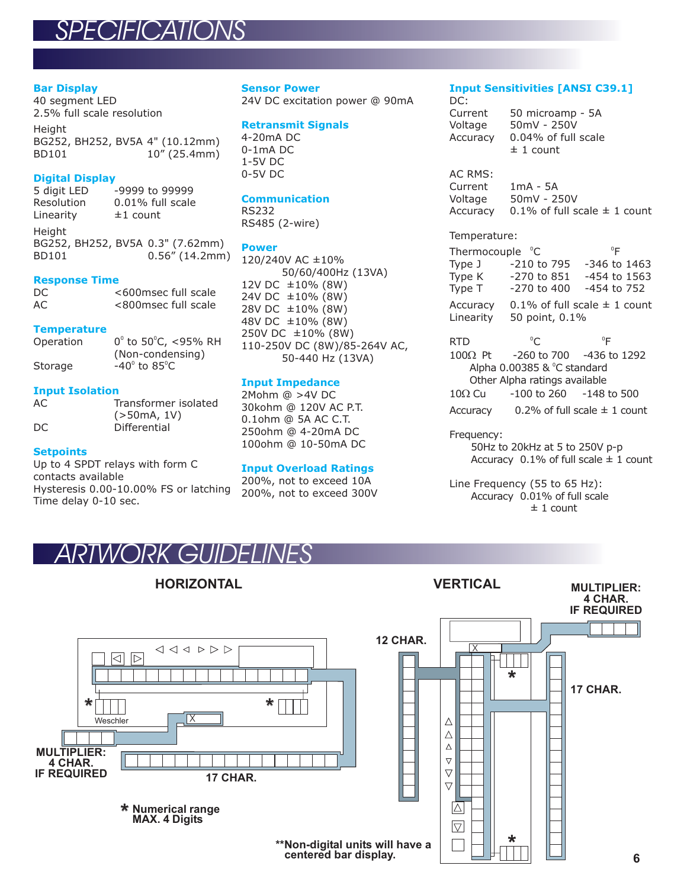### *SPECIFICATIONS*

#### **Bar Display**

40 segment LED 2.5% full scale resolution

**Height** BG252, BH252, BV5A 4" (10.12mm) BD101 10" (25.4mm)

#### **Digital Display**

5 digit LED -9999 to 99999<br>Resolution 0.01% full scale  $0.01\%$  full scale Linearity  $±1$  count

**Height** BG252, BH252, BV5A 0.3" (7.62mm) BD101 0.56" (14.2mm)

#### **Response Time**

| DC. | <600msec full scale |
|-----|---------------------|
| AC  | <800msec full scale |

#### **Temperature**

| Operation | $0^{\circ}$ to 50 $^{\circ}$ C, <95% RH |
|-----------|-----------------------------------------|
|           | (Non-condensing)                        |
| Storage   | $-40^\circ$ to 85 $^{\circ}$ C          |

#### **Input Isolation**

| AC. | Transformer isolated |
|-----|----------------------|
|     | (>50mA, 1V)          |
| DC. | Differential         |

#### **Setpoints**

Up to 4 SPDT relays with form C contacts available Hysteresis 0.00-10.00% FS or latching Time delay 0-10 sec.

#### **Sensor Power**

24V DC excitation power @ 90mA

#### **Retransmit Signals**

4-20mA DC 0-1mA DC 1-5V DC 0-5V DC

#### **Communication**

RS232 RS485 (2-wire)

#### **Power**

120/240V AC ±10% 50/60/400Hz (13VA) 12V DC  $\pm 10\%$  (8W)  $24V$  DC  $\pm 10\%$  (8W)  $28V$  DC  $\pm 10\%$  (8W) 48V DC ±10% (8W)  $250V$  DC  $\pm 10\%$  (8W) 110-250V DC (8W)/85-264V AC, 50-440 Hz (13VA)

#### **Input Impedance**

2Mohm @ >4V DC 30kohm @ 120V AC P.T. 0.1ohm @ 5A AC C.T. 250ohm @ 4-20mA DC 100ohm @ 10-50mA DC

#### **Input Overload Ratings**

200%, not to exceed 10A 200%, not to exceed 300V

#### **Input Sensitivities [ANSI C39.1]** DC:

Current 50 microamp - 5A Voltage 50mV - 250V Accuracy 0.04% of full scale  $± 1$  count

AC RMS: Current 1mA - 5A Voltage 50mV - 250V Accuracy 0.1% of full scale  $\pm$  1 count

#### Temperature:

Thermocouple  $^{\circ}$ C  $^{\circ}$ F Type J -210 to 795 -346 to 1463<br>Type K -270 to 851 -454 to 1563 Type K -270 to 851 -454 to 1563<br>Type T -270 to 400 -454 to 752  $-270$  to 400  $-454$  to 752 Accuracy  $-0.1\%$  of full scale  $\pm$  1 count Linearity 50 point, 0.1%

RTD <sup>o</sup>C <sup>o</sup>F -260 to 700 -436 to 1292 Alpha  $0.00385$  &  $^{\circ}$ C standard Other Alpha ratings available  $-100$  to 260  $-148$  to 500 Accuracy  $\qquad 0.2\%$  of full scale  $\pm$  1 count  $^{\circ}$ C  $^{\circ}$ F  $100Q$  Pt  $10\Omega$  Cu

#### Frequency:

50Hz to 20kHz at 5 to 250V p-p Accuracy  $\,$  0.1% of full scale  $\pm$  1 count

Line Frequency (55 to 65 Hz): Accuracy 0.01% of full scale  $± 1$  count

### *ARTWORK GUIDELINES*



 $\triangleleft \triangleleft \triangleleft \triangleright \triangleright \triangleright$  $\boxdot$   $\boxdot$  $\star$   $\begin{array}{c|c|c|c|c} \hline \textbf{r} & \textbf{r} & \textbf{r} \ \hline \textbf{r} & \textbf{r} & \textbf{r} \ \hline \textbf{r} & \textbf{r} & \textbf{r} \ \hline \end{array}$ Weschler **MULTIPLIER: 4 CHAR. IF REQUIRED 17 CHAR.** \* **Numerical range MAX. 4 Digits**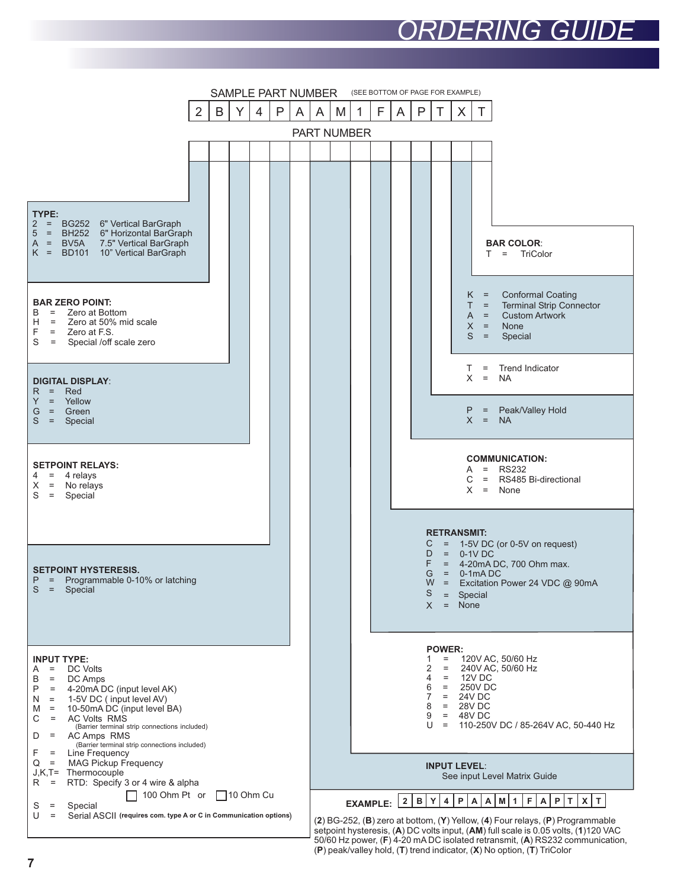# *ORDERING GUIDE*